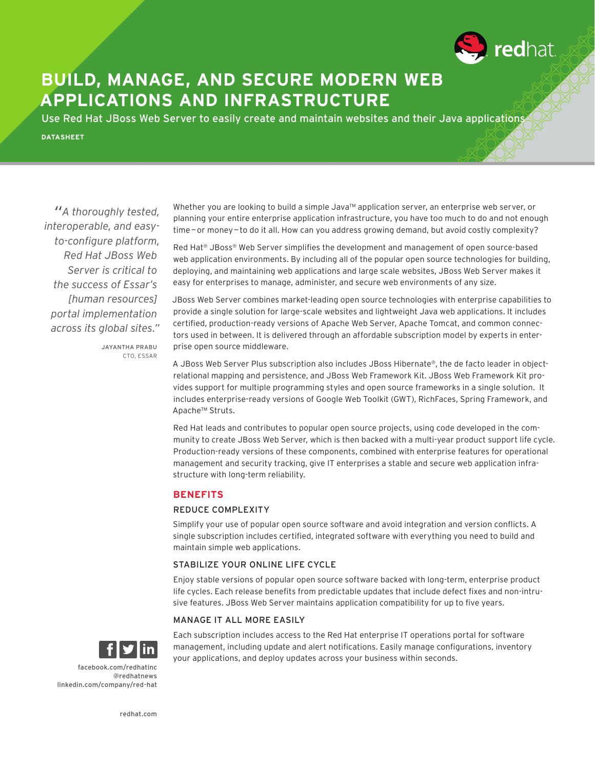

# **BUILD, MANAGE, AND SECURE MODERN WEB APPLICATIONS AND INFRASTRUCTURE**

Use Red Hat JBoss Web Server to easily create and maintain websites and their Java applications

**DATASHEET**

*"A thoroughly tested, interoperable, and easyto-configure platform, Red Hat JBoss Web Server is critical to the success of Essar's [human resources] portal implementation across its global sites."*

> JAYANTHA PRABU CTO, ESSAR

Whether you are looking to build a simple Java™ application server, an enterprise web server, or planning your entire enterprise application infrastructure, you have too much to do and not enough time - or money - to do it all. How can you address growing demand, but avoid costly complexity?

Red Hat® JBoss® Web Server simplifies the development and management of open source-based web application environments. By including all of the popular open source technologies for building, deploying, and maintaining web applications and large scale websites, JBoss Web Server makes it easy for enterprises to manage, administer, and secure web environments of any size.

JBoss Web Server combines market-leading open source technologies with enterprise capabilities to provide a single solution for large-scale websites and lightweight Java web applications. It includes certified, production-ready versions of Apache Web Server, Apache Tomcat, and common connectors used in between. It is delivered through an affordable subscription model by experts in enterprise open source middleware.

A JBoss Web Server Plus subscription also includes JBoss Hibernate®, the de facto leader in objectrelational mapping and persistence, and JBoss Web Framework Kit. JBoss Web Framework Kit provides support for multiple programming styles and open source frameworks in a single solution. It includes enterprise-ready versions of Google Web Toolkit (GWT), RichFaces, Spring Framework, and Apache™ Struts.

Red Hat leads and contributes to popular open source projects, using code developed in the community to create JBoss Web Server, which is then backed with a multi-year product support life cycle. Production-ready versions of these components, combined with enterprise features for operational management and security tracking, give IT enterprises a stable and secure web application infrastructure with long-term reliability.

## **BENEFITS**

## REDUCE COMPLEXITY

Simplify your use of popular open source software and avoid integration and version conflicts. A single subscription includes certified, integrated software with everything you need to build and maintain simple web applications.

## STABILIZE YOUR ONLINE LIFE CYCLE

Enjoy stable versions of popular open source software backed with long-term, enterprise product life cycles. Each release benefits from predictable updates that include defect fixes and non-intrusive features. JBoss Web Server maintains application compatibility for up to five years.

## MANAGE IT ALL MORE EASILY



Each subscription includes access to the Red Hat enterprise IT operations portal for software management, including update and alert notifications. Easily manage configurations, inventory your applications, and deploy updates across your business within seconds.

facebook.com/redhatinc @redhatnews linkedin.com/company/red-hat

redhat.com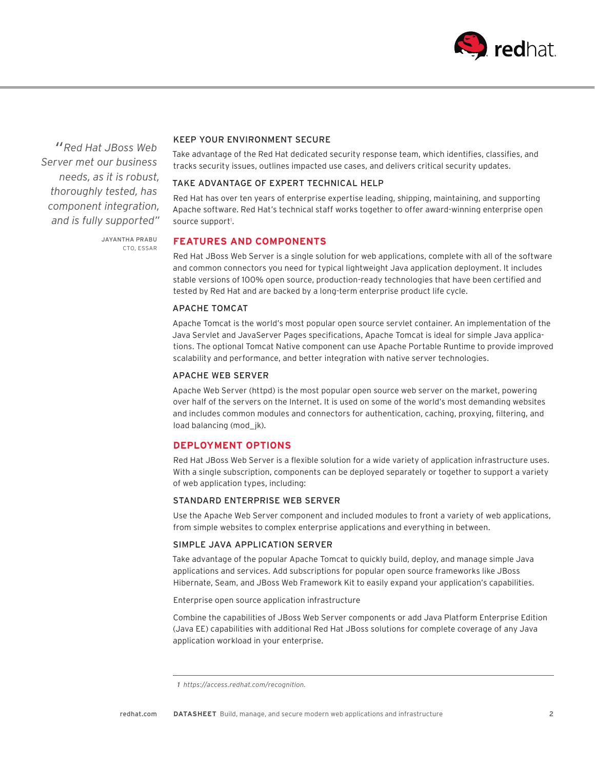

*"Red Hat JBoss Web Server met our business needs, as it is robust, thoroughly tested, has component integration, and is fully supported"*

# KEEP YOUR ENVIRONMENT SECURE

Take advantage of the Red Hat dedicated security response team, which identifies, classifies, and tracks security issues, outlines impacted use cases, and delivers critical security updates.

## TAKE ADVANTAGE OF EXPERT TECHNICAL HELP

Red Hat has over ten years of enterprise expertise leading, shipping, maintaining, and supporting Apache software. Red Hat's technical staff works together to offer award-winning enterprise open source support<sup>1</sup>.

JAYANTHA PRABU CTO, ESSAR

# **FEATURES AND COMPONENTS**

Red Hat JBoss Web Server is a single solution for web applications, complete with all of the software and common connectors you need for typical lightweight Java application deployment. It includes stable versions of 100% open source, production-ready technologies that have been certified and tested by Red Hat and are backed by a long-term enterprise product life cycle.

#### APACHE TOMCAT

Apache Tomcat is the world's most popular open source servlet container. An implementation of the Java Servlet and JavaServer Pages specifications, Apache Tomcat is ideal for simple Java applications. The optional Tomcat Native component can use Apache Portable Runtime to provide improved scalability and performance, and better integration with native server technologies.

#### APACHE WEB SERVER

Apache Web Server (httpd) is the most popular open source web server on the market, powering over half of the servers on the Internet. It is used on some of the world's most demanding websites and includes common modules and connectors for authentication, caching, proxying, filtering, and load balancing (mod jk).

## **DEPLOYMENT OPTIONS**

Red Hat JBoss Web Server is a flexible solution for a wide variety of application infrastructure uses. With a single subscription, components can be deployed separately or together to support a variety of web application types, including:

## STANDARD ENTERPRISE WEB SERVER

Use the Apache Web Server component and included modules to front a variety of web applications, from simple websites to complex enterprise applications and everything in between.

## SIMPLE JAVA APPLICATION SERVER

Take advantage of the popular Apache Tomcat to quickly build, deploy, and manage simple Java applications and services. Add subscriptions for popular open source frameworks like JBoss Hibernate, Seam, and JBoss Web Framework Kit to easily expand your application's capabilities.

Enterprise open source application infrastructure

Combine the capabilities of JBoss Web Server components or add Java Platform Enterprise Edition (Java EE) capabilities with additional Red Hat JBoss solutions for complete coverage of any Java application workload in your enterprise.

 *<sup>1</sup>  https://access.redhat.com/recognition.*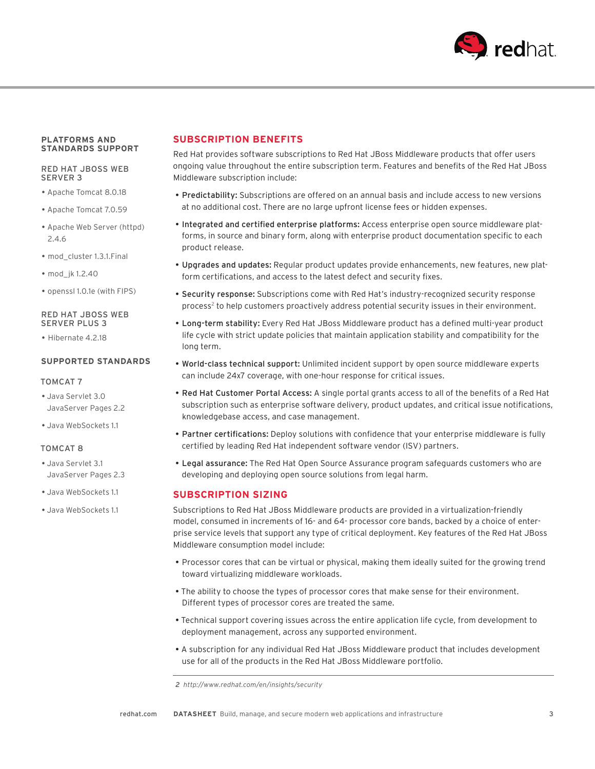

#### **PLATFORMS AND STANDARDS SUPPORT**

#### RED HAT JBOSS WEB SERVER 3

- Apache Tomcat 8.0.18
- Apache Tomcat 7.0.59
- Apache Web Server (httpd) 2.4.6
- mod\_cluster 1.3.1.Final
- mod\_jk 1.2.40
- openssl 1.0.1e (with FIPS)

#### RED HAT JBOSS WEB SERVER PLUS 3

• Hibernate 4.2.18

#### **SUPPORTED STANDARDS**

#### TOMCAT 7

- Java Servlet 3.0 JavaServer Pages 2.2
- Java WebSockets 1.1

#### TOMCAT 8

- Java Servlet 3.1 JavaServer Pages 2.3
- Java WebSockets 1.1
- Java WebSockets 1.1

# **SUBSCRIPTION BENEFITS**

Red Hat provides software subscriptions to Red Hat JBoss Middleware products that offer users ongoing value throughout the entire subscription term. Features and benefits of the Red Hat JBoss Middleware subscription include:

- Predictability: Subscriptions are offered on an annual basis and include access to new versions at no additional cost. There are no large upfront license fees or hidden expenses.
- Integrated and certified enterprise platforms: Access enterprise open source middleware platforms, in source and binary form, along with enterprise product documentation specific to each product release.
- Upgrades and updates: Regular product updates provide enhancements, new features, new platform certifications, and access to the latest defect and security fixes.
- Security response: Subscriptions come with Red Hat's industry-recognized security response process<sup>2</sup> to help customers proactively address potential security issues in their environment.
- Long-term stability: Every Red Hat JBoss Middleware product has a defined multi-year product life cycle with strict update policies that maintain application stability and compatibility for the long term.
- World-class technical support: Unlimited incident support by open source middleware experts can include 24x7 coverage, with one-hour response for critical issues.
- Red Hat Customer Portal Access: A single portal grants access to all of the benefits of a Red Hat subscription such as enterprise software delivery, product updates, and critical issue notifications, knowledgebase access, and case management.
- Partner certifications: Deploy solutions with confidence that your enterprise middleware is fully certified by leading Red Hat independent software vendor (ISV) partners.
- Legal assurance: The Red Hat Open Source Assurance program safeguards customers who are developing and deploying open source solutions from legal harm.

# **SUBSCRIPTION SIZING**

Subscriptions to Red Hat JBoss Middleware products are provided in a virtualization-friendly model, consumed in increments of 16- and 64- processor core bands, backed by a choice of enterprise service levels that support any type of critical deployment. Key features of the Red Hat JBoss Middleware consumption model include:

- Processor cores that can be virtual or physical, making them ideally suited for the growing trend toward virtualizing middleware workloads.
- The ability to choose the types of processor cores that make sense for their environment. Different types of processor cores are treated the same.
- Technical support covering issues across the entire application life cycle, from development to deployment management, across any supported environment.
- A subscription for any individual Red Hat JBoss Middleware product that includes development use for all of the products in the Red Hat JBoss Middleware portfolio.

 *<sup>2</sup>  http://www.redhat.com/en/insights/security*